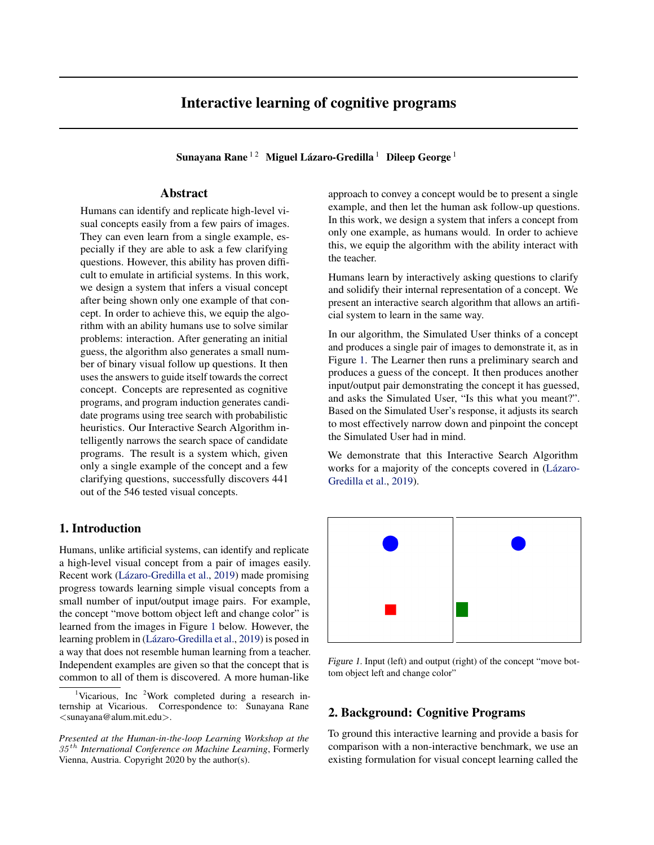# Interactive learning of cognitive programs

Sunayana Rane $^{\rm 12}~$  Miguel Lázaro-Gredilla $^{\rm 1}~$  Dileep George  $^{\rm 1}$ 

## Abstract

Humans can identify and replicate high-level visual concepts easily from a few pairs of images. They can even learn from a single example, especially if they are able to ask a few clarifying questions. However, this ability has proven difficult to emulate in artificial systems. In this work, we design a system that infers a visual concept after being shown only one example of that concept. In order to achieve this, we equip the algorithm with an ability humans use to solve similar problems: interaction. After generating an initial guess, the algorithm also generates a small number of binary visual follow up questions. It then uses the answers to guide itself towards the correct concept. Concepts are represented as cognitive programs, and program induction generates candidate programs using tree search with probabilistic heuristics. Our Interactive Search Algorithm intelligently narrows the search space of candidate programs. The result is a system which, given only a single example of the concept and a few clarifying questions, successfully discovers 441 out of the 546 tested visual concepts.

### 1. Introduction

Humans, unlike artificial systems, can identify and replicate a high-level visual concept from a pair of images easily. Recent work (Lázaro-Gredilla et al., [2019\)](#page-5-0) made promising progress towards learning simple visual concepts from a small number of input/output image pairs. For example, the concept "move bottom object left and change color" is learned from the images in Figure 1 below. However, the learning problem in (Lázaro-Gredilla et al., [2019\)](#page-5-0) is posed in a way that does not resemble human learning from a teacher. Independent examples are given so that the concept that is common to all of them is discovered. A more human-like approach to convey a concept would be to present a single example, and then let the human ask follow-up questions. In this work, we design a system that infers a concept from only one example, as humans would. In order to achieve this, we equip the algorithm with the ability interact with the teacher.

Humans learn by interactively asking questions to clarify and solidify their internal representation of a concept. We present an interactive search algorithm that allows an artificial system to learn in the same way.

In our algorithm, the Simulated User thinks of a concept and produces a single pair of images to demonstrate it, as in Figure 1. The Learner then runs a preliminary search and produces a guess of the concept. It then produces another input/output pair demonstrating the concept it has guessed, and asks the Simulated User, "Is this what you meant?". Based on the Simulated User's response, it adjusts its search to most effectively narrow down and pinpoint the concept the Simulated User had in mind.

We demonstrate that this Interactive Search Algorithm works for a majority of the concepts covered in (Lázaro-[Gredilla et al.,](#page-5-0) [2019\)](#page-5-0).



Figure 1. Input (left) and output (right) of the concept "move bottom object left and change color"

## 2. Background: Cognitive Programs

To ground this interactive learning and provide a basis for comparison with a non-interactive benchmark, we use an existing formulation for visual concept learning called the

<sup>&</sup>lt;sup>1</sup>Vicarious, Inc <sup>2</sup>Work completed during a research internship at Vicarious. Correspondence to: Sunayana Rane <sunayana@alum.mit.edu>.

*Presented at the Human-in-the-loop Learning Workshop at the* 35 th *International Conference on Machine Learning*, Formerly Vienna, Austria. Copyright 2020 by the author(s).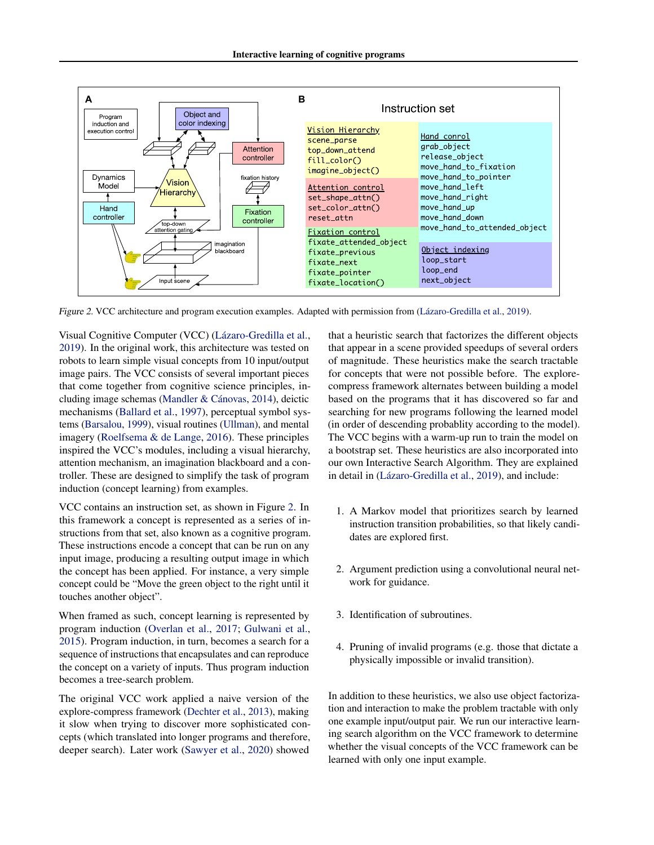

Figure 2. VCC architecture and program execution examples. Adapted with permission from (Lázaro-Gredilla et al., [2019\)](#page-5-0).

robots to learn simple visual concepts from 10 input/output robots to learn simple visual concepts from 10 input/output<br>image pairs. The VCC consists of several important pieces that come together from cognitive science principles, in-cluding image schemas (Mandler & Cánovas, [2014\)](#page-5-0), deictic mechanisms [\(Ballard et al.,](#page-5-0) [1997\)](#page-5-0), perceptual symbol sys-the finder world to the spatial arrangement of the spatial arrangement of the spatial arrangement of the spatial arrangement of the spatial arrangement of the spatial routines [\(Ullman\)](#page-5-0), and mental tems (Darsarou, 1999), visual routines (Cinital), and field imagery (Roelfsema  $\&$  de Lange, [2016\)](#page-5-0). These principles inspired the VCC's modules, including a visual hierarchy, attention mechanism, an imagination blackboard and a controller. These are designed to simplify the task of program induction (concept learning) from examples. Visual Cognitive Computer (VCC) (Lázaro-Gredilla et al., that a heuristic search that factorizes the different of [2019\)](#page-5-0). In the original work, this architecture was tested on

 $\frac{1}{2}$  surface of table, and they surface of the table, and they stop moving when they stop moving when they stop  $\frac{1}{2}$ VCC contains an instruction set, as shown in Figure 2. In this framework a concept is represented as a series of instructions from that set, also known as a cognitive program. These instructions encode a concept that can be run on any input image, producing a resulting output image in which the concept has been applied. For instance, a very simple concept could be "Move the green object to the right until it touches another object".  $\mathcal{S}$  shows a simple, manually written comparison comparison comparison comparison for a simple program for a simple program for a simple program for a simple program for a simple program for a simple program for a sim

When framed as such, concept learning is represented by program induction [\(Overlan et al.,](#page-5-0) 2017; [Gulwani et al.,](#page-5-0) [2015\)](#page-5-0). Program induction, in turn, becomes a search for a sequence of instructions that encapsulates and can reproduce the concept on a variety of inputs. Thus program induction  $\frac{1}{2}$  hecomes a tree-search problem becomes a tree-search problem.

The original VCC work applied a naive version of the explore-compress framework [\(Dechter et al.,](#page-5-0) 2013), making explore-compress framework (Dechter et al., 2013), making it slow when trying to discover more sophisticated concepts (which translated into longer programs and therefore, deeper search) Later work (Sawyer et al. 2020) showed deeper search). Later work [\(Sawyer et al.,](#page-5-0) [2020\)](#page-5-0) showed of magnitude. These heuristics make the search tractable for concepts that were not possible before. The explorecompress framework alternates between building a model based on the programs that it has discovered so far and EVER OF THE PROBLEM SHIP CONCEPTS IS THE MELTICAL SET OF THE SECOND SET OF THE MELTICAL SET OF THE MELTICAL SET OF THE MELTICAL SET OF THE MELTICAL SET OF THE MELTICAL SET OF THE MELTICAL SET OF THE MELTICAL SET OF THE MEL In the programs representing a concept in order that is called the model.  $W = VCG1$  is the correction of the correct output in the VCC with  $W = VCG1$  with the VCC with the VCC with the VCC with the VCC with the VCC with the VCC with the VCC with the VCC with the VCC with the VCC with the VCC with t The VCC begins with a warm-up run to train the model on a bootstrap set. These heuristics are also incorporated into our own Interactive Search Algorithm. They are explained in detail in (Lázaro-Gredilla et al., [2019\)](#page-5-0), and include: that a heuristic search that factorizes the different objects that appear in a scene provided speedups of several orders

- 1. A Markov model that prioritizes search by learned instruction transition probabilities, so that likely candidates are explored first.
- 2. Argument prediction using a convolutional neural network for guidance.
- (34) where induction alternation alternation alternation and a complex and a com-3. Identification of subroutines.
- $t$  Domins of invalid so energy  $(s, \pi, t)$  and the distate  $\pi$ 4. Pruning of invalid programs (e.g. those that dictate a physically impossible or invalid transition).

models (neural networks) (32) about the value that the argument of each In addition to these heuristics, we also use object factorization and interaction to make the problem tractable with only one example input/output pair. We run our interactive learning search algorithm on the VCC framework to determine whether the visual concepts of the VCC framework can be learned with only one input example.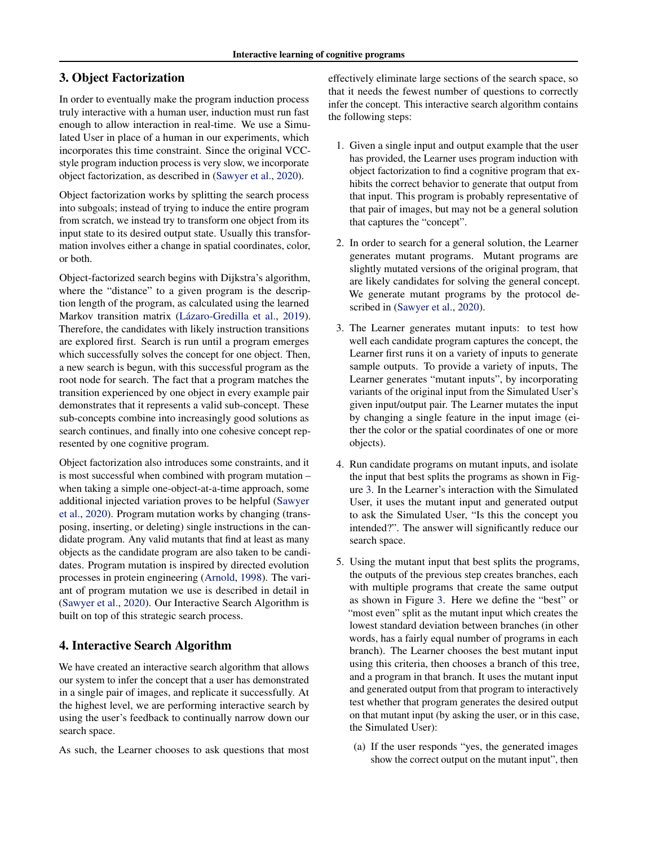# 3. Object Factorization

In order to eventually make the program induction process truly interactive with a human user, induction must run fast enough to allow interaction in real-time. We use a Simulated User in place of a human in our experiments, which incorporates this time constraint. Since the original VCCstyle program induction process is very slow, we incorporate object factorization, as described in [\(Sawyer et al.,](#page-5-0) [2020\)](#page-5-0).

Object factorization works by splitting the search process into subgoals; instead of trying to induce the entire program from scratch, we instead try to transform one object from its input state to its desired output state. Usually this transformation involves either a change in spatial coordinates, color, or both.

Object-factorized search begins with Dijkstra's algorithm, where the "distance" to a given program is the description length of the program, as calculated using the learned Markov transition matrix (Lázaro-Gredilla et al., [2019\)](#page-5-0). Therefore, the candidates with likely instruction transitions are explored first. Search is run until a program emerges which successfully solves the concept for one object. Then, a new search is begun, with this successful program as the root node for search. The fact that a program matches the transition experienced by one object in every example pair demonstrates that it represents a valid sub-concept. These sub-concepts combine into increasingly good solutions as search continues, and finally into one cohesive concept represented by one cognitive program.

Object factorization also introduces some constraints, and it is most successful when combined with program mutation – when taking a simple one-object-at-a-time approach, some additional injected variation proves to be helpful [\(Sawyer](#page-5-0) [et al.,](#page-5-0) [2020\)](#page-5-0). Program mutation works by changing (transposing, inserting, or deleting) single instructions in the candidate program. Any valid mutants that find at least as many objects as the candidate program are also taken to be candidates. Program mutation is inspired by directed evolution processes in protein engineering [\(Arnold,](#page-5-0) [1998\)](#page-5-0). The variant of program mutation we use is described in detail in [\(Sawyer et al.,](#page-5-0) [2020\)](#page-5-0). Our Interactive Search Algorithm is built on top of this strategic search process.

# 4. Interactive Search Algorithm

We have created an interactive search algorithm that allows our system to infer the concept that a user has demonstrated in a single pair of images, and replicate it successfully. At the highest level, we are performing interactive search by using the user's feedback to continually narrow down our search space.

As such, the Learner chooses to ask questions that most

effectively eliminate large sections of the search space, so that it needs the fewest number of questions to correctly infer the concept. This interactive search algorithm contains the following steps:

- 1. Given a single input and output example that the user has provided, the Learner uses program induction with object factorization to find a cognitive program that exhibits the correct behavior to generate that output from that input. This program is probably representative of that pair of images, but may not be a general solution that captures the "concept".
- 2. In order to search for a general solution, the Learner generates mutant programs. Mutant programs are slightly mutated versions of the original program, that are likely candidates for solving the general concept. We generate mutant programs by the protocol described in [\(Sawyer et al.,](#page-5-0) [2020\)](#page-5-0).
- 3. The Learner generates mutant inputs: to test how well each candidate program captures the concept, the Learner first runs it on a variety of inputs to generate sample outputs. To provide a variety of inputs, The Learner generates "mutant inputs", by incorporating variants of the original input from the Simulated User's given input/output pair. The Learner mutates the input by changing a single feature in the input image (either the color or the spatial coordinates of one or more objects).
- 4. Run candidate programs on mutant inputs, and isolate the input that best splits the programs as shown in Figure [3.](#page-3-0) In the Learner's interaction with the Simulated User, it uses the mutant input and generated output to ask the Simulated User, "Is this the concept you intended?". The answer will significantly reduce our search space.
- 5. Using the mutant input that best splits the programs, the outputs of the previous step creates branches, each with multiple programs that create the same output as shown in Figure [3.](#page-3-0) Here we define the "best" or "most even" split as the mutant input which creates the lowest standard deviation between branches (in other words, has a fairly equal number of programs in each branch). The Learner chooses the best mutant input using this criteria, then chooses a branch of this tree, and a program in that branch. It uses the mutant input and generated output from that program to interactively test whether that program generates the desired output on that mutant input (by asking the user, or in this case, the Simulated User):
	- (a) If the user responds "yes, the generated images show the correct output on the mutant input", then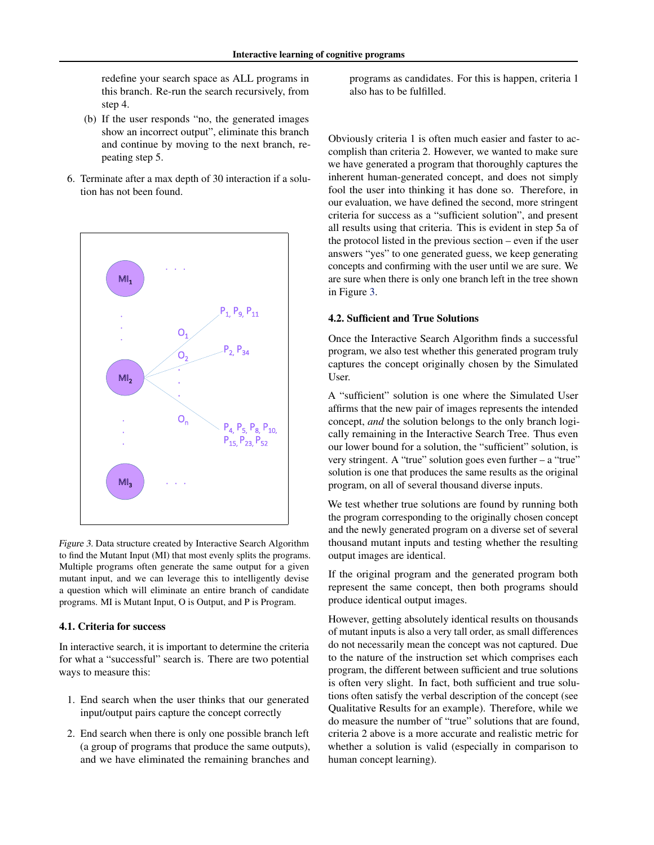<span id="page-3-0"></span>redefine your search space as ALL programs in this branch. Re-run the search recursively, from step 4.

- (b) If the user responds "no, the generated images show an incorrect output", eliminate this branch and continue by moving to the next branch, repeating step 5.
- 6. Terminate after a max depth of 30 interaction if a solution has not been found.



Figure 3. Data structure created by Interactive Search Algorithm to find the Mutant Input (MI) that most evenly splits the programs. Multiple programs often generate the same output for a given mutant input, and we can leverage this to intelligently devise a question which will eliminate an entire branch of candidate programs. MI is Mutant Input, O is Output, and P is Program.

#### 4.1. Criteria for success

In interactive search, it is important to determine the criteria for what a "successful" search is. There are two potential ways to measure this:

- 1. End search when the user thinks that our generated input/output pairs capture the concept correctly
- 2. End search when there is only one possible branch left (a group of programs that produce the same outputs), and we have eliminated the remaining branches and

programs as candidates. For this is happen, criteria 1 also has to be fulfilled.

Obviously criteria 1 is often much easier and faster to accomplish than criteria 2. However, we wanted to make sure we have generated a program that thoroughly captures the inherent human-generated concept, and does not simply fool the user into thinking it has done so. Therefore, in our evaluation, we have defined the second, more stringent criteria for success as a "sufficient solution", and present all results using that criteria. This is evident in step 5a of the protocol listed in the previous section – even if the user answers "yes" to one generated guess, we keep generating concepts and confirming with the user until we are sure. We are sure when there is only one branch left in the tree shown in Figure 3.

#### 4.2. Sufficient and True Solutions

Once the Interactive Search Algorithm finds a successful program, we also test whether this generated program truly captures the concept originally chosen by the Simulated User.

A "sufficient" solution is one where the Simulated User affirms that the new pair of images represents the intended concept, *and* the solution belongs to the only branch logically remaining in the Interactive Search Tree. Thus even our lower bound for a solution, the "sufficient" solution, is very stringent. A "true" solution goes even further – a "true" solution is one that produces the same results as the original program, on all of several thousand diverse inputs.

We test whether true solutions are found by running both the program corresponding to the originally chosen concept and the newly generated program on a diverse set of several thousand mutant inputs and testing whether the resulting output images are identical.

If the original program and the generated program both represent the same concept, then both programs should produce identical output images.

However, getting absolutely identical results on thousands of mutant inputs is also a very tall order, as small differences do not necessarily mean the concept was not captured. Due to the nature of the instruction set which comprises each program, the different between sufficient and true solutions is often very slight. In fact, both sufficient and true solutions often satisfy the verbal description of the concept (see Qualitative Results for an example). Therefore, while we do measure the number of "true" solutions that are found, criteria 2 above is a more accurate and realistic metric for whether a solution is valid (especially in comparison to human concept learning).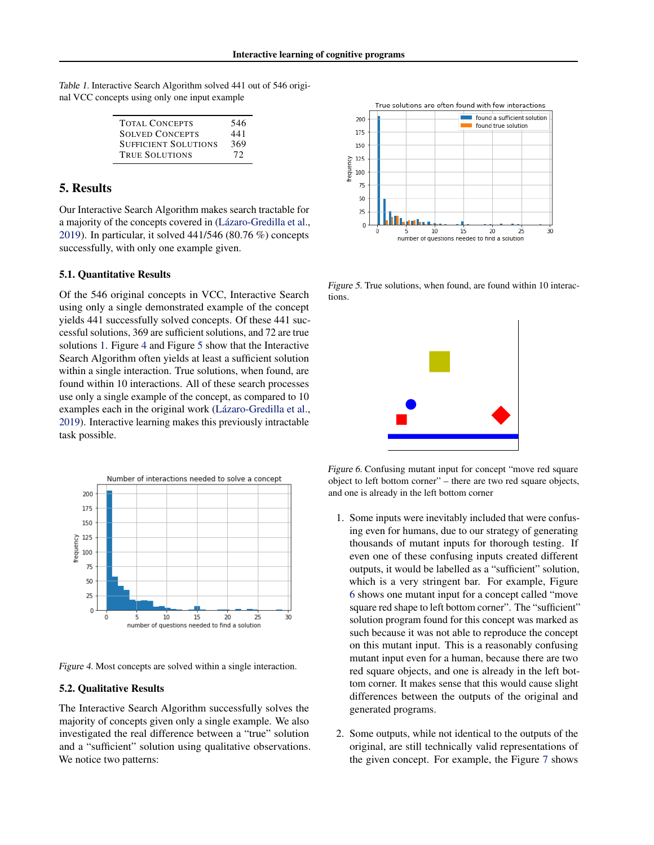| <b>TOTAL CONCEPTS</b>       | 546 |
|-----------------------------|-----|
| <b>SOLVED CONCEPTS</b>      | 441 |
| <b>SUFFICIENT SOLUTIONS</b> | 369 |
| <b>TRUE SOLUTIONS</b>       | 72  |

# 5. Results

Our Interactive Search Algorithm makes search tractable for a majority of the concepts covered in (Lázaro-Gredilla et al., [2019\)](#page-5-0). In particular, it solved 441/546 (80.76 %) concepts successfully, with only one example given.

#### 5.1. Quantitative Results

Of the 546 original concepts in VCC, Interactive Search using only a single demonstrated example of the concept yields 441 successfully solved concepts. Of these 441 successful solutions, 369 are sufficient solutions, and 72 are true solutions 1. Figure 4 and Figure 5 show that the Interactive Search Algorithm often yields at least a sufficient solution within a single interaction. True solutions, when found, are found within 10 interactions. All of these search processes use only a single example of the concept, as compared to 10 examples each in the original work (Lázaro-Gredilla et al., [2019\)](#page-5-0). Interactive learning makes this previously intractable task possible.



Figure 4. Most concepts are solved within a single interaction.

#### 5.2. Qualitative Results

The Interactive Search Algorithm successfully solves the majority of concepts given only a single example. We also investigated the real difference between a "true" solution and a "sufficient" solution using qualitative observations. We notice two patterns:



Figure 5. True solutions, when found, are found within 10 interactions.



Figure 6. Confusing mutant input for concept "move red square object to left bottom corner" – there are two red square objects, and one is already in the left bottom corner

- 1. Some inputs were inevitably included that were confusing even for humans, due to our strategy of generating thousands of mutant inputs for thorough testing. If even one of these confusing inputs created different outputs, it would be labelled as a "sufficient" solution, which is a very stringent bar. For example, Figure 6 shows one mutant input for a concept called "move square red shape to left bottom corner". The "sufficient" solution program found for this concept was marked as such because it was not able to reproduce the concept on this mutant input. This is a reasonably confusing mutant input even for a human, because there are two red square objects, and one is already in the left bottom corner. It makes sense that this would cause slight differences between the outputs of the original and generated programs.
- 2. Some outputs, while not identical to the outputs of the original, are still technically valid representations of the given concept. For example, the Figure [7](#page-5-0) shows

Table 1. Interactive Search Algorithm solved 441 out of 546 original VCC concepts using only one input example